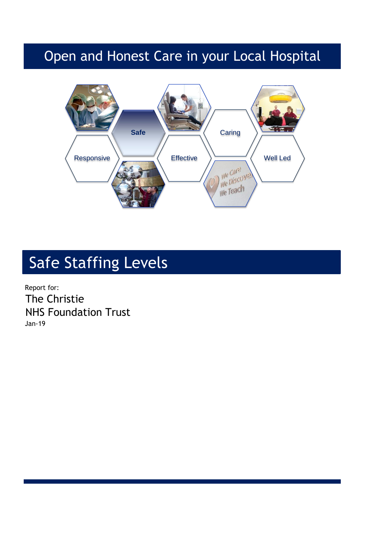## Open and Honest Care in your Local Hospital



# Safe Staffing Levels

Report for: The Christie NHS Foundation Trust Jan-19